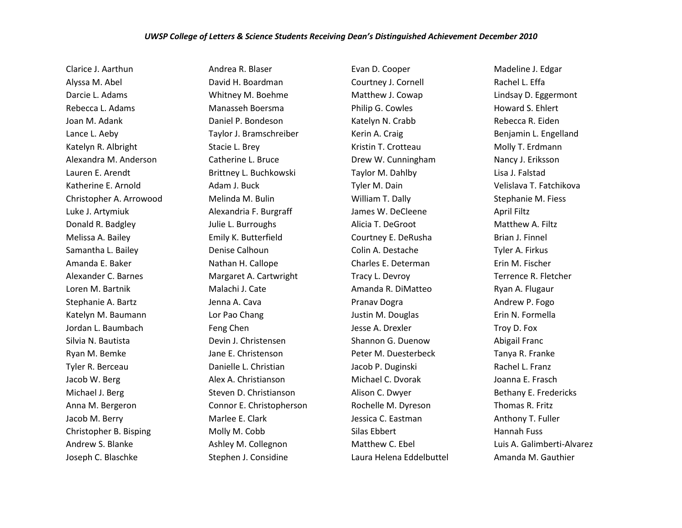Clarice J. Aarthun Alyssa M. Abel Darcie L. Adams Rebecca L. Adams Joan M. Adank Lance L. Aeby Katelyn R. Albright Alexandra M. Anderson Lauren E. Arendt Katherine E. Arnold Christopher A. Arrowood Luke J. Artymiuk Donald R. Badgley Melissa A. Bailey Samantha L. Bailey Amanda E. Baker Alexander C. Barnes Loren M. Bartnik Stephanie A. Bartz Katelyn M. Baumann Jordan L. Baumbach Silvia N. Bautista Ryan M. Bemke Tyler R. Berceau Jacob W. Berg Michael J. Berg Anna M. Bergeron Jacob M. Berry Christopher B. Bisping Andrew S. Blanke Joseph C. Blaschke

Andrea R. Blaser David H. Boardman Whitney M. Boehme Manasseh Boersma Daniel P. Bondeson Taylor J. Bramschreiber Stacie L. Brey Catherine L. Bruce Brittney L. Buchkowski Adam J. Buck Melinda M. Bulin Alexandria F. Burgraff Julie L. Burroughs Emily K. Butterfield Denise Calhoun Nathan H. Callope Margaret A. Cartwright Malachi J. Cate Jenna A. Cava Lor Pao Chang Feng Chen Devin J. Christensen Jane E. Christenson Danielle L. Christian Alex A. Christianson Steven D. Christianson Connor E. Christopherson Marlee E. Clark Molly M. Cobb Ashley M. Collegnon Stephen J. Considine

Evan D. Cooper Courtney J. Cornell Matthew J. Cowap Philip G. Cowles Katelyn N. Crabb Kerin A. Craig Kristin T. Crotteau Drew W. Cunningham Taylor M. Dahlby Tyler M. Dain William T. Dally James W. DeCleene Alicia T. DeGroot Courtney E. DeRusha Colin A. Destache Charles E. Determan Tracy L. Devroy Amanda R. DiMatteo Pranav Dogra Justin M. Douglas Jesse A. Drexler Shannon G. Duenow Peter M. Duesterbeck Jacob P. Duginski Michael C. Dvorak Alison C. Dwyer Rochelle M. Dyreson Jessica C. Eastman Silas Ebbert Matthew C. Ebel Laura Helena Eddelbuttel Madeline J. Edgar Rachel L. Effa Lindsay D. Eggermont Howard S. Ehlert Rebecca R. Eiden Benjamin L. Engelland Molly T. Erdmann Nancy J. Eriksson Lisa J. Falstad Velislava T. Fatchikova Stephanie M. Fiess April Filtz Matthew A. Filtz Brian J. Finnel Tyler A. Firkus Erin M. Fischer Terrence R. Fletcher Ryan A. Flugaur Andrew P. Fogo Erin N. Formella Troy D. Fox Abigail Franc Tanya R. Franke Rachel L. Franz Joanna E. Frasch Bethany E. Fredericks Thomas R. Fritz Anthony T. Fuller Hannah Fuss Luis A. Galimberti-Alvarez Amanda M. Gauthier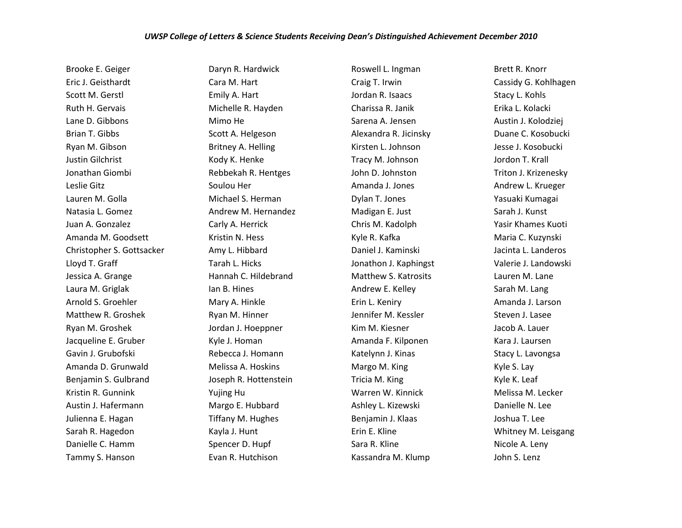Brooke E. Geiger Eric J. Geisthardt Scott M. Gerstl Ruth H. Gervais Lane D. Gibbons Brian T. Gibbs Ryan M. Gibson Justin Gilchrist Jonathan Giombi Leslie Gitz Lauren M. Golla Natasia L. Gomez Juan A. Gonzalez Amanda M. Goodsett Christopher S. Gottsacker Lloyd T. Graff Jessica A. Grange Laura M. Griglak Arnold S. Groehler Matthew R. Groshek Ryan M. Groshek Jacqueline E. Gruber Gavin J. Grubofski Amanda D. Grunwald Benjamin S. Gulbrand Kristin R. Gunnink Austin J. Hafermann Julienna E. Hagan Sarah R. Hagedon Danielle C. Hamm Tammy S. Hanson

Daryn R. Hardwick Cara M. Hart Emily A. Hart Michelle R. Hayden Mimo He Scott A. Helgeson Britney A. Helling Kody K. Henke Rebbekah R. Hentges Soulou Her Michael S. Herman Andrew M. Hernandez Carly A. Herrick Kristin N. Hess Amy L. Hibbard Tarah L. Hicks Hannah C. Hildebrand Ian B. Hines Mary A. Hinkle Ryan M. Hinner Jordan J. Hoeppner Kyle J. Homan Rebecca J. Homann Melissa A. Hoskins Joseph R. Hottenstein Yujing Hu Margo E. Hubbard Tiffany M. Hughes Kayla J. Hunt Spencer D. Hupf Evan R. Hutchison

Roswell L. Ingman Craig T. Irwin Jordan R. Isaacs Charissa R. Janik Sarena A. Jensen Alexandra R. Jicinsky Kirsten L. Johnson Tracy M. Johnson John D. Johnston Amanda J. Jones Dylan T. Jones Madigan E. Just Chris M. Kadolph Kyle R. Kafka Daniel J. Kaminski Jonathon J. Kaphingst Matthew S. Katrosits Andrew E. Kelley Erin L. Keniry Jennifer M. Kessler Kim M. Kiesner Amanda F. Kilponen Katelynn J. Kinas Margo M. King Tricia M. King Warren W. Kinnick Ashley L. Kizewski Benjamin J. Klaas Erin E. Kline Sara R. Kline Kassandra M. Klump

Brett R. Knorr Cassidy G. Kohlhagen Stacy L. Kohls Erika L. Kolacki Austin J. Kolodziej Duane C. Kosobucki Jesse J. Kosobucki Jordon T. Krall Triton J. Krizenesky Andrew L. Krueger Yasuaki Kumagai Sarah J. Kunst Yasir Khames Kuoti Maria C. Kuzynski Jacinta L. Landeros Valerie J. Landowski Lauren M. Lane Sarah M. Lang Amanda J. Larson Steven J. Lasee Jacob A. Lauer Kara J. Laursen Stacy L. Lavongsa Kyle S. Lay Kyle K. Leaf Melissa M. Lecker Danielle N. Lee Joshua T. Lee Whitney M. Leisgang Nicole A. Leny John S. Lenz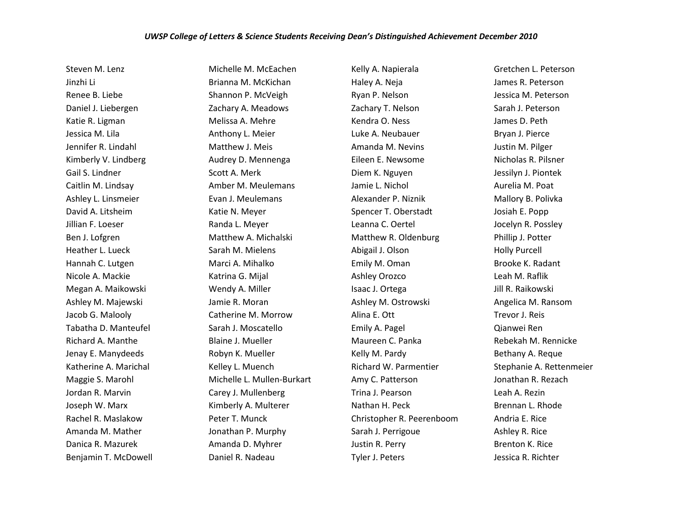Steven M. Lenz Jinzhi Li Renee B. Liebe Daniel J. Liebergen Katie R. Ligman Jessica M. Lila Jennifer R. Lindahl Kimberly V. Lindberg Gail S. Lindner Caitlin M. Lindsay Ashley L. Linsmeier David A. Litsheim Jillian F. Loeser Ben J. Lofgren Heather L. Lueck Hannah C. Lutgen Nicole A. Mackie Megan A. Maikowski Ashley M. Majewski Jacob G. Malooly Tabatha D. Manteufel Richard A. Manthe Jenay E. Manydeeds Katherine A. Marichal Maggie S. Marohl Jordan R. Marvin Joseph W. Marx Rachel R. Maslakow Amanda M. Mather Danica R. Mazurek Benjamin T. McDowell

Michelle M. McEachen Brianna M. McKichan Shannon P. McVeigh Zachary A. Meadows Melissa A. Mehre Anthony L. Meier Matthew J. Meis Audrey D. Mennenga Scott A. Merk Amber M. Meulemans Evan J. Meulemans Katie N. Meyer Randa L. Meyer Matthew A. Michalski Sarah M. Mielens Marci A. Mihalko Katrina G. Mijal Wendy A. Miller Jamie R. Moran Catherine M. Morrow Sarah J. Moscatello Blaine J. Mueller Robyn K. Mueller Kelley L. Muench Michelle L. Mullen-Burkart Carey J. Mullenberg Kimberly A. Multerer Peter T. Munck Jonathan P. Murphy Amanda D. Myhrer Daniel R. Nadeau

Kelly A. Napierala Haley A. Neja Ryan P. Nelson Zachary T. Nelson Kendra O. Ness Luke A. Neubauer Amanda M. Nevins Eileen E. Newsome Diem K. Nguyen Jamie L. Nichol Alexander P. Niznik Spencer T. Oberstadt Leanna C. Oertel Matthew R. Oldenburg Abigail J. Olson Emily M. Oman Ashley Orozco Isaac J. Ortega Ashley M. Ostrowski Alina E. Ott Emily A. Pagel Maureen C. Panka Kelly M. Pardy Richard W. Parmentier Amy C. Patterson Trina J. Pearson Nathan H. Peck Christopher R. Peerenboom Sarah J. Perrigoue Justin R. Perry Tyler J. Peters

Gretchen L. Peterson James R. Peterson Jessica M. Peterson Sarah J. Peterson James D. Peth Bryan J. Pierce Justin M. Pilger Nicholas R. Pilsner Jessilyn J. Piontek Aurelia M. Poat Mallory B. Polivka Josiah E. Popp Jocelyn R. Possley Phillip J. Potter Holly Purcell Brooke K. Radant Leah M. Raflik Jill R. Raikowski Angelica M. Ransom Trevor J. Reis Qianwei Ren Rebekah M. Rennicke Bethany A. Reque Stephanie A. Rettenmeier Jonathan R. Rezach Leah A. Rezin Brennan L. Rhode Andria E. Rice Ashley R. Rice Brenton K. Rice Jessica R. Richter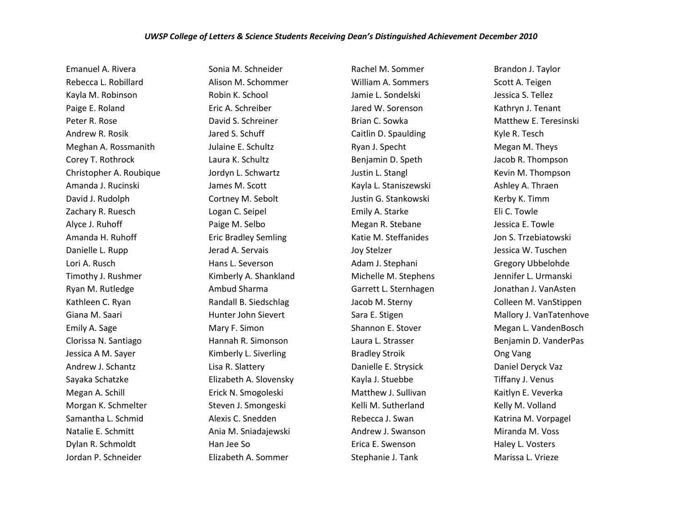Emanuel A. Rivera Rebecca L. Robillard Kayla M. Robinson Paige E. Roland Peter R. Rose Andrew R. Rosik Meghan A. Rossmanith Corey T. Rothrock Christopher A. Roubique Amanda J. Rucinski David J. Rudolph Zachary R. Ruesch Alyce J. Ruhoff Amanda H. Ruhoff Danielle L. Rupp Lori A. Rusch Timothy J. Rushmer Ryan M. Rutledge Kathleen C. Ryan Giana M. Saari Emily A. Sage Clorissa N. Santiago Jessica A M. Sayer Andrew J. Schantz Sayaka Schatzke Megan A. Schill Morgan K. Schmelter Samantha L. Schmid Natalie E. Schmitt Dylan R. Schmoldt Jordan P. Schneider

Sonia M. Schneider Alison M. Schommer Robin K. School Eric A. Schreiber David S. Schreiner Jared S. Schuff Julaine E. Schultz Laura K. Schultz Jordyn L. Schwartz James M. Scott Cortney M. Sebolt Logan C. Seipel Paige M. Selbo Eric Bradley Semling Jerad A. Servais Hans L. Severson Kimberly A. Shankland Ambud Sharma Randall B. Siedschlag Hunter John Sievert Mary F. Simon Hannah R. Simonson Kimberly L. Siverling Lisa R. Slattery Elizabeth A. Slovensky Erick N. Smogoleski Steven J. Smongeski Alexis C. Snedden Ania M. Sniadajewski Han Jee So Elizabeth A. Sommer

Rachel M. Sommer William A. Sommers Jamie L. Sondelski Jared W. Sorenson Brian C. Sowka Caitlin D. Spaulding Ryan J. Specht Benjamin D. Speth Justin L. Stangl Kayla L. Staniszewski Justin G. Stankowski Emily A. Starke Megan R. Stebane Katie M. Steffanides Joy Stelzer Adam J. Stephani Michelle M. Stephens Garrett L. Sternhagen Jacob M. Sterny Sara E. Stigen Shannon E. Stover Laura L. Strasser Bradley Stroik Danielle E. Strysick Kayla J. Stuebbe Matthew J. Sullivan Kelli M. Sutherland Rebecca J. Swan Andrew J. Swanson Erica E. Swenson Stephanie J. Tank

Brandon J. Taylor Scott A. Teigen Jessica S. Tellez Kathryn J. Tenant Matthew E. Teresinski Kyle R. Tesch Megan M. Theys Jacob R. Thompson Kevin M. Thompson Ashley A. Thraen Kerby K. Timm Eli C. Towle Jessica E. Towle Jon S. Trzebiatowski Jessica W. Tuschen Gregory Ubbelohde Jennifer L. Urmanski Jonathan J. VanAsten Colleen M. VanStippen Mallory J. VanTatenhove Megan L. VandenBosch Benjamin D. VanderPas Ong Vang Daniel Deryck Vaz Tiffany J. Venus Kaitlyn E. Veverka Kelly M. Volland Katrina M. Vorpagel Miranda M. Voss Haley L. Vosters Marissa L. Vrieze